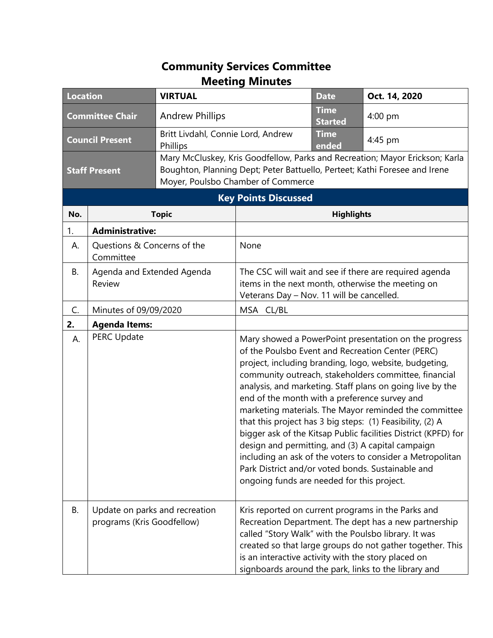## **Community Services Committee Meeting Minutes**

| <b>Location</b>             |                                                              | <b>VIRTUAL</b>                                 |                                                                                                                                                                                                  | <b>Date</b>                   | Oct. 14, 2020                                                                                                                                                                                                                                                                                                                                                                                                                                                                                                                                                                                        |  |
|-----------------------------|--------------------------------------------------------------|------------------------------------------------|--------------------------------------------------------------------------------------------------------------------------------------------------------------------------------------------------|-------------------------------|------------------------------------------------------------------------------------------------------------------------------------------------------------------------------------------------------------------------------------------------------------------------------------------------------------------------------------------------------------------------------------------------------------------------------------------------------------------------------------------------------------------------------------------------------------------------------------------------------|--|
| <b>Committee Chair</b>      |                                                              | <b>Andrew Phillips</b>                         |                                                                                                                                                                                                  | <b>Time</b><br><b>Started</b> | 4:00 pm                                                                                                                                                                                                                                                                                                                                                                                                                                                                                                                                                                                              |  |
| <b>Council Present</b>      |                                                              | Britt Livdahl, Connie Lord, Andrew<br>Phillips |                                                                                                                                                                                                  | <b>Time</b><br>ended          | 4:45 pm                                                                                                                                                                                                                                                                                                                                                                                                                                                                                                                                                                                              |  |
| <b>Staff Present</b>        |                                                              |                                                | Mary McCluskey, Kris Goodfellow, Parks and Recreation; Mayor Erickson; Karla<br>Boughton, Planning Dept; Peter Battuello, Perteet; Kathi Foresee and Irene<br>Moyer, Poulsbo Chamber of Commerce |                               |                                                                                                                                                                                                                                                                                                                                                                                                                                                                                                                                                                                                      |  |
| <b>Key Points Discussed</b> |                                                              |                                                |                                                                                                                                                                                                  |                               |                                                                                                                                                                                                                                                                                                                                                                                                                                                                                                                                                                                                      |  |
| No.                         | <b>Topic</b>                                                 |                                                | <b>Highlights</b>                                                                                                                                                                                |                               |                                                                                                                                                                                                                                                                                                                                                                                                                                                                                                                                                                                                      |  |
| 1.                          | <b>Administrative:</b>                                       |                                                |                                                                                                                                                                                                  |                               |                                                                                                                                                                                                                                                                                                                                                                                                                                                                                                                                                                                                      |  |
| А.                          | Questions & Concerns of the<br>Committee                     |                                                | None                                                                                                                                                                                             |                               |                                                                                                                                                                                                                                                                                                                                                                                                                                                                                                                                                                                                      |  |
| В.                          | Agenda and Extended Agenda<br>Review                         |                                                | The CSC will wait and see if there are required agenda<br>items in the next month, otherwise the meeting on<br>Veterans Day - Nov. 11 will be cancelled.                                         |                               |                                                                                                                                                                                                                                                                                                                                                                                                                                                                                                                                                                                                      |  |
| C.                          | Minutes of 09/09/2020                                        |                                                | MSA CL/BL                                                                                                                                                                                        |                               |                                                                                                                                                                                                                                                                                                                                                                                                                                                                                                                                                                                                      |  |
| 2.                          | <b>Agenda Items:</b>                                         |                                                |                                                                                                                                                                                                  |                               |                                                                                                                                                                                                                                                                                                                                                                                                                                                                                                                                                                                                      |  |
| А.                          | <b>PERC Update</b>                                           |                                                | end of the month with a preference survey and<br>Park District and/or voted bonds. Sustainable and<br>ongoing funds are needed for this project.                                                 |                               | Mary showed a PowerPoint presentation on the progress<br>of the Poulsbo Event and Recreation Center (PERC)<br>project, including branding, logo, website, budgeting,<br>community outreach, stakeholders committee, financial<br>analysis, and marketing. Staff plans on going live by the<br>marketing materials. The Mayor reminded the committee<br>that this project has 3 big steps: (1) Feasibility, (2) A<br>bigger ask of the Kitsap Public facilities District (KPFD) for<br>design and permitting, and (3) A capital campaign<br>including an ask of the voters to consider a Metropolitan |  |
| В.                          | Update on parks and recreation<br>programs (Kris Goodfellow) |                                                | is an interactive activity with the story placed on                                                                                                                                              |                               | Kris reported on current programs in the Parks and<br>Recreation Department. The dept has a new partnership<br>called "Story Walk" with the Poulsbo library. It was<br>created so that large groups do not gather together. This<br>signboards around the park, links to the library and                                                                                                                                                                                                                                                                                                             |  |